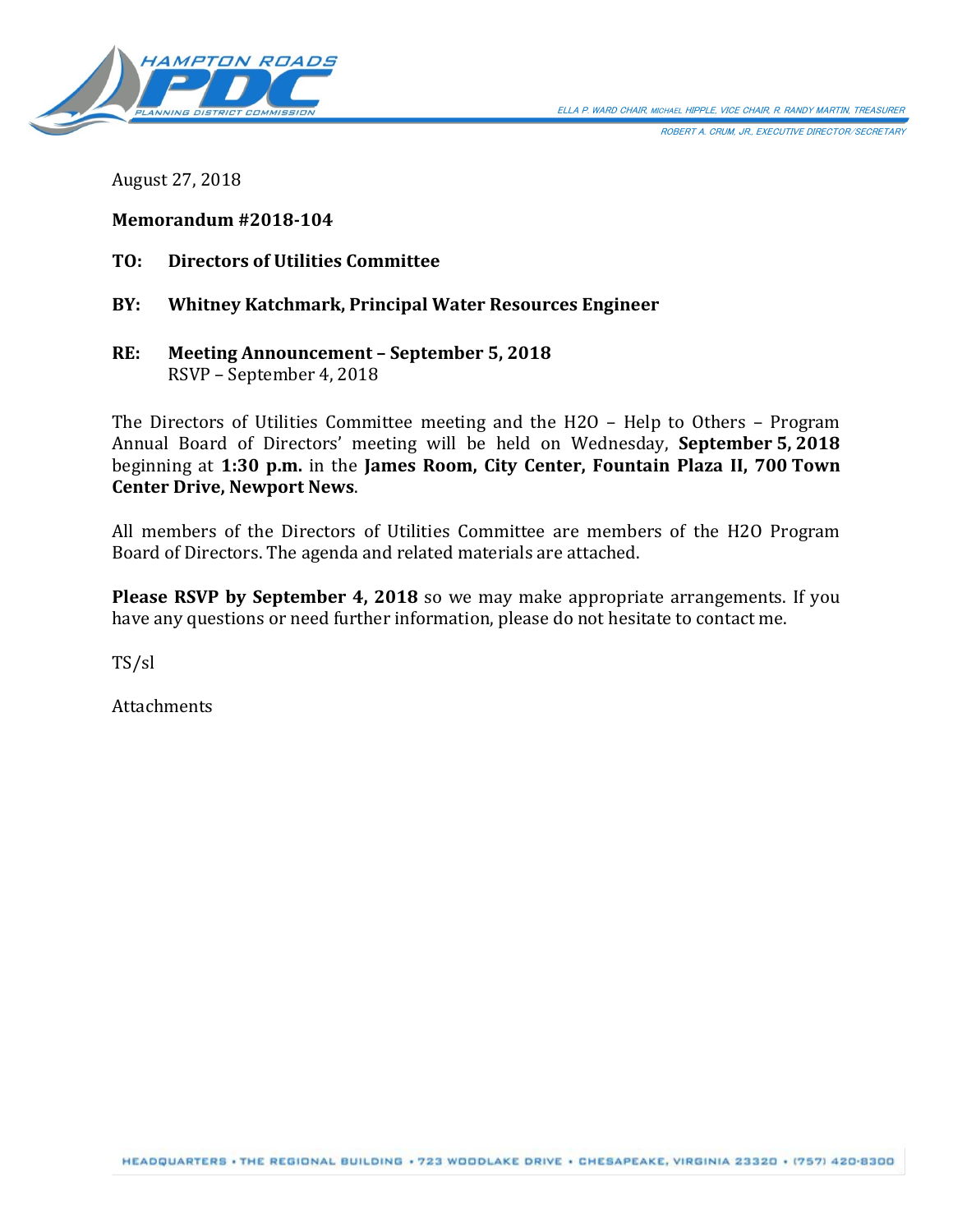

ROBERT A. CRUM, JR., EXECUTIVE DIRECTOR/SECRETARY

August 27, 2018

# **Memorandum #2018-104**

- **TO: Directors of Utilities Committee**
- **BY: Whitney Katchmark, Principal Water Resources Engineer**
- **RE: Meeting Announcement – September 5, 2018** RSVP – September 4, 2018

The Directors of Utilities Committee meeting and the H2O – Help to Others – Program Annual Board of Directors' meeting will be held on Wednesday, **September 5, 2018** beginning at **1:30 p.m.** in the **James Room, City Center, Fountain Plaza II, 700 Town Center Drive, Newport News**.

All members of the Directors of Utilities Committee are members of the H2O Program Board of Directors. The agenda and related materials are attached.

**Please RSVP by September 4, 2018** so we may make appropriate arrangements. If you have any questions or need further information, please do not hesitate to contact me.

TS/sl

**Attachments**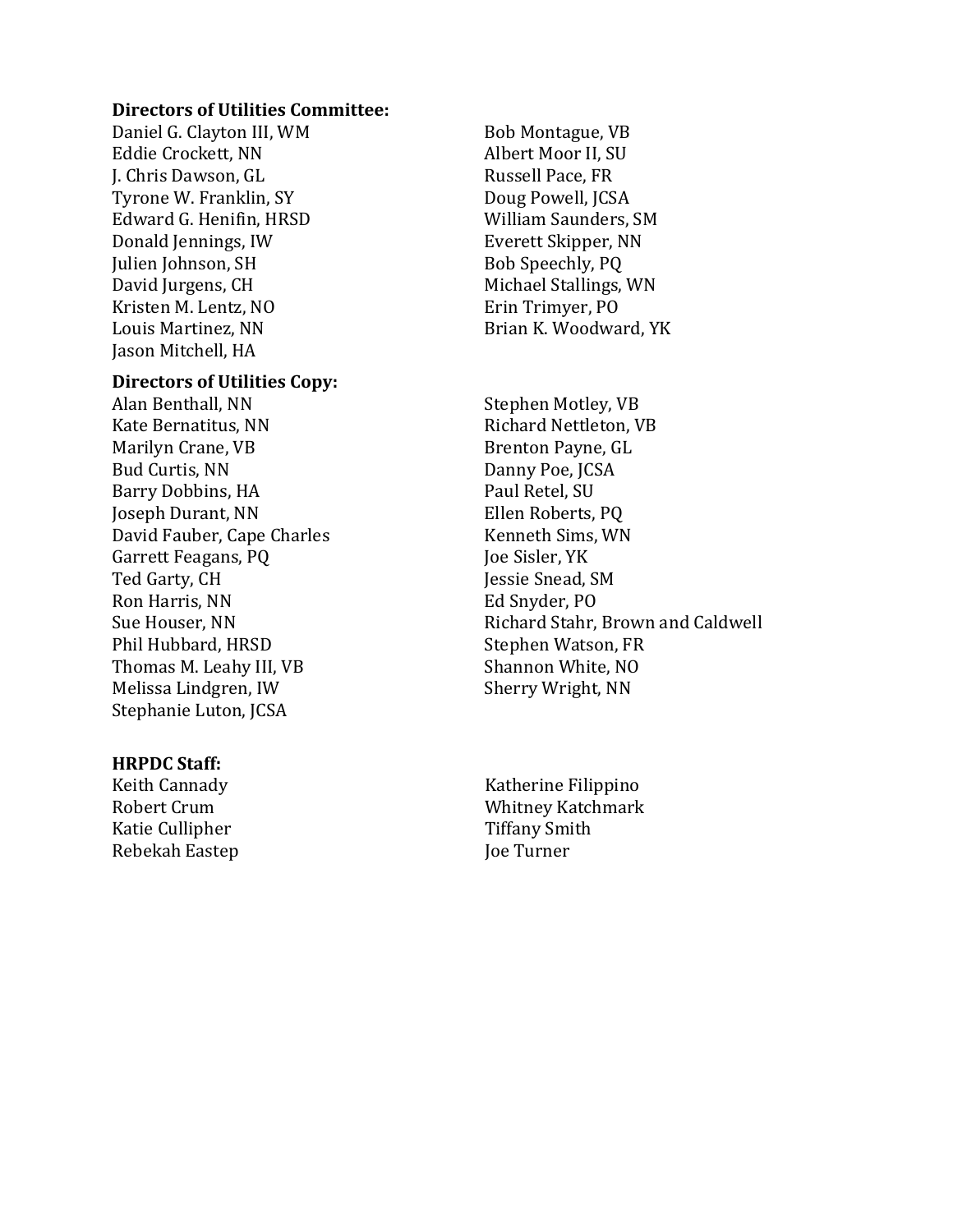#### **Directors of Utilities Committee:**

Daniel G. Clayton III, WM Eddie Crockett, NN J. Chris Dawson, GL Tyrone W. Franklin, SY Edward G. Henifin, HRSD Donald Jennings, IW Julien Johnson, SH David Jurgens, CH Kristen M. Lentz, NO Louis Martinez, NN Jason Mitchell, HA

#### **Directors of Utilities Copy:**

Alan Benthall, NN Kate Bernatitus, NN Marilyn Crane, VB Bud Curtis, NN Barry Dobbins, HA Joseph Durant, NN David Fauber, Cape Charles Garrett Feagans, PQ Ted Garty, CH Ron Harris, NN Sue Houser, NN Phil Hubbard, HRSD Thomas M. Leahy III, VB Melissa Lindgren, IW Stephanie Luton, JCSA

#### **HRPDC Staff:**

Keith Cannady Robert Crum Katie Cullipher Rebekah Eastep

Bob Montague, VB Albert Moor II, SU Russell Pace, FR Doug Powell, JCSA William Saunders, SM Everett Skipper, NN Bob Speechly, PQ Michael Stallings, WN Erin Trimyer, PO Brian K. Woodward, YK

Stephen Motley, VB Richard Nettleton, VB Brenton Payne, GL Danny Poe, JCSA Paul Retel, SU Ellen Roberts, PQ Kenneth Sims, WN Joe Sisler, YK Jessie Snead, SM Ed Snyder, PO Richard Stahr, Brown and Caldwell Stephen Watson, FR Shannon White, NO Sherry Wright, NN

Katherine Filippino Whitney Katchmark Tiffany Smith Joe Turner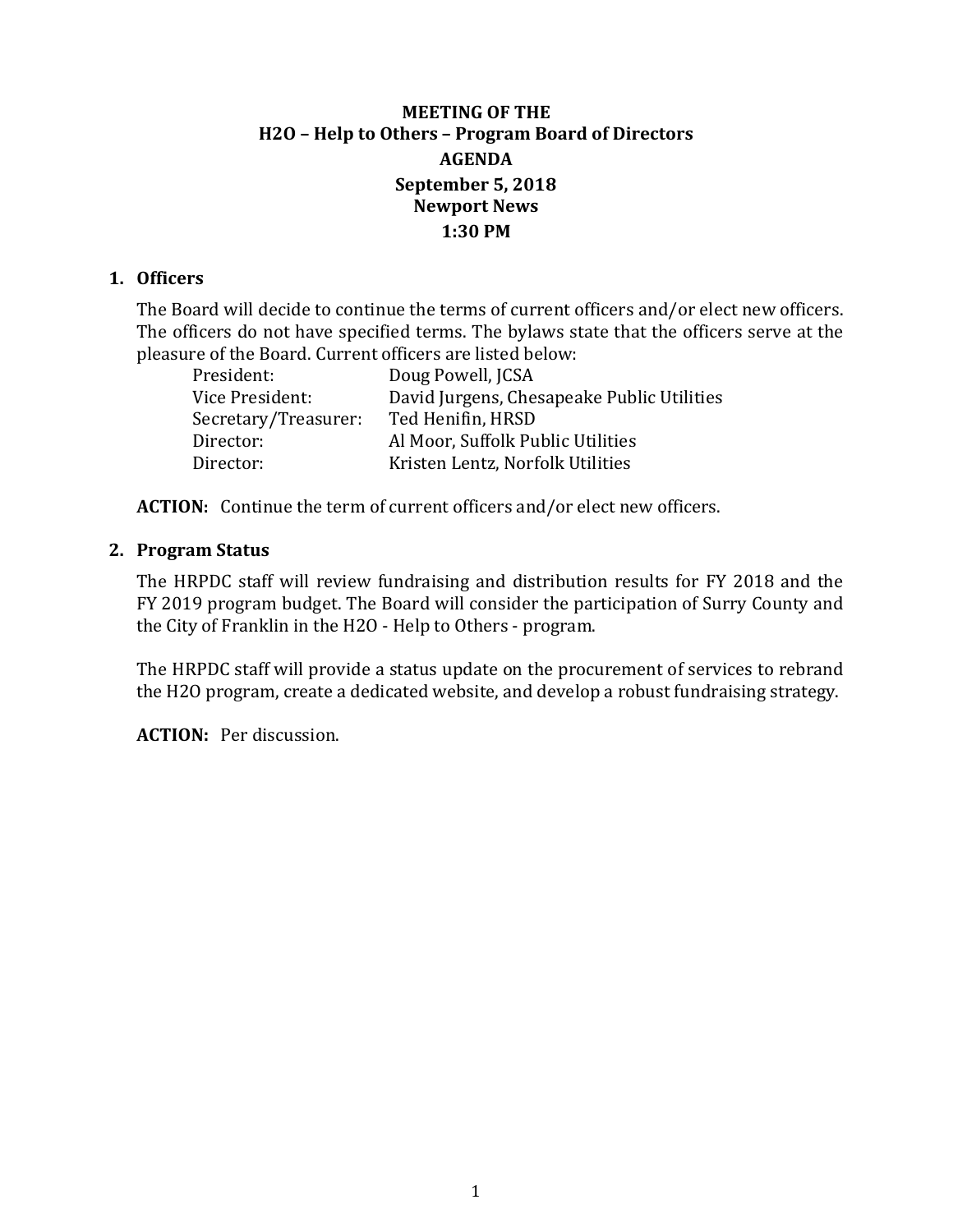# **MEETING OF THE H2O – Help to Others – Program Board of Directors AGENDA September 5, 2018 Newport News 1:30 PM**

# **1. Officers**

The Board will decide to continue the terms of current officers and/or elect new officers. The officers do not have specified terms. The bylaws state that the officers serve at the pleasure of the Board. Current officers are listed below:

| President:           | Doug Powell, JCSA                          |
|----------------------|--------------------------------------------|
| Vice President:      | David Jurgens, Chesapeake Public Utilities |
| Secretary/Treasurer: | Ted Henifin, HRSD                          |
| Director:            | Al Moor, Suffolk Public Utilities          |
| Director:            | Kristen Lentz, Norfolk Utilities           |
|                      |                                            |

**ACTION:** Continue the term of current officers and/or elect new officers.

## **2. Program Status**

The HRPDC staff will review fundraising and distribution results for FY 2018 and the FY 2019 program budget. The Board will consider the participation of Surry County and the City of Franklin in the H2O - Help to Others - program.

The HRPDC staff will provide a status update on the procurement of services to rebrand the H2O program, create a dedicated website, and develop a robust fundraising strategy.

**ACTION:** Per discussion.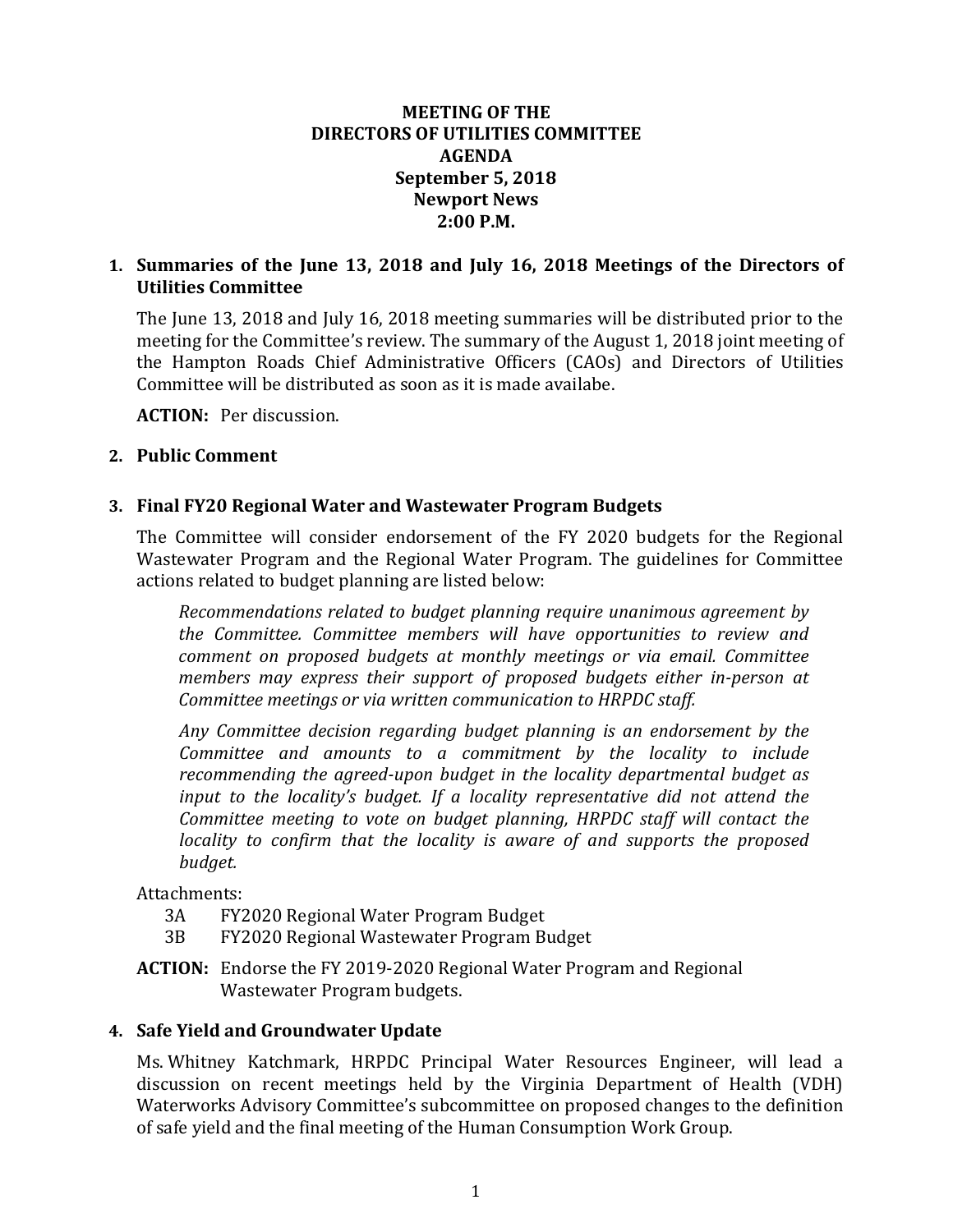# **MEETING OF THE DIRECTORS OF UTILITIES COMMITTEE AGENDA September 5, 2018 Newport News 2:00 P.M.**

# **1. Summaries of the June 13, 2018 and July 16, 2018 Meetings of the Directors of Utilities Committee**

The June 13, 2018 and July 16, 2018 meeting summaries will be distributed prior to the meeting for the Committee's review. The summary of the August 1, 2018 joint meeting of the Hampton Roads Chief Administrative Officers (CAOs) and Directors of Utilities Committee will be distributed as soon as it is made availabe.

**ACTION:** Per discussion.

## **2. Public Comment**

# **3. Final FY20 Regional Water and Wastewater Program Budgets**

The Committee will consider endorsement of the FY 2020 budgets for the Regional Wastewater Program and the Regional Water Program. The guidelines for Committee actions related to budget planning are listed below:

*Recommendations related to budget planning require unanimous agreement by the Committee. Committee members will have opportunities to review and comment on proposed budgets at monthly meetings or via email. Committee members may express their support of proposed budgets either in-person at Committee meetings or via written communication to HRPDC staff.*

*Any Committee decision regarding budget planning is an endorsement by the Committee and amounts to a commitment by the locality to include recommending the agreed-upon budget in the locality departmental budget as input to the locality's budget. If a locality representative did not attend the Committee meeting to vote on budget planning, HRPDC staff will contact the locality to confirm that the locality is aware of and supports the proposed budget.*

Attachments:<br>3A FY2

- 3A FY2020 Regional Water Program Budget
- 3B FY2020 Regional Wastewater Program Budget
- **ACTION:** Endorse the FY 2019-2020 Regional Water Program and Regional Wastewater Program budgets.

# **4. Safe Yield and Groundwater Update**

Ms. Whitney Katchmark, HRPDC Principal Water Resources Engineer, will lead a discussion on recent meetings held by the Virginia Department of Health (VDH) Waterworks Advisory Committee's subcommittee on proposed changes to the definition of safe yield and the final meeting of the Human Consumption Work Group.